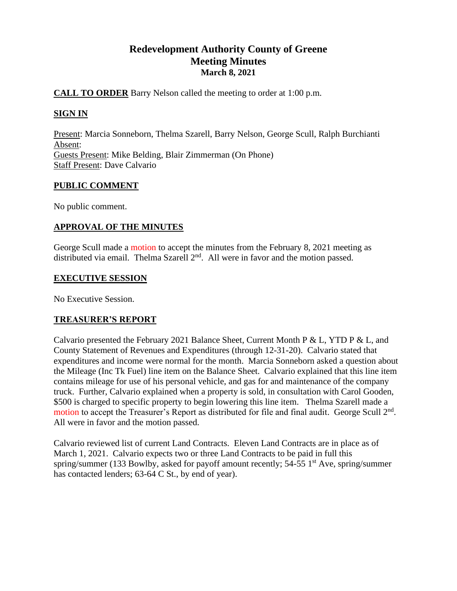# **Redevelopment Authority County of Greene Meeting Minutes March 8, 2021**

# **CALL TO ORDER** Barry Nelson called the meeting to order at 1:00 p.m.

# **SIGN IN**

Present: Marcia Sonneborn, Thelma Szarell, Barry Nelson, George Scull, Ralph Burchianti Absent: Guests Present: Mike Belding, Blair Zimmerman (On Phone) Staff Present: Dave Calvario

# **PUBLIC COMMENT**

No public comment.

# **APPROVAL OF THE MINUTES**

George Scull made a motion to accept the minutes from the February 8, 2021 meeting as distributed via email. Thelma Szarell  $2<sup>nd</sup>$ . All were in favor and the motion passed.

# **EXECUTIVE SESSION**

No Executive Session.

# **TREASURER'S REPORT**

Calvario presented the February 2021 Balance Sheet, Current Month P & L, YTD P & L, and County Statement of Revenues and Expenditures (through 12-31-20). Calvario stated that expenditures and income were normal for the month. Marcia Sonneborn asked a question about the Mileage (Inc Tk Fuel) line item on the Balance Sheet. Calvario explained that this line item contains mileage for use of his personal vehicle, and gas for and maintenance of the company truck. Further, Calvario explained when a property is sold, in consultation with Carol Gooden, \$500 is charged to specific property to begin lowering this line item. Thelma Szarell made a motion to accept the Treasurer's Report as distributed for file and final audit. George Scull 2<sup>nd</sup>. All were in favor and the motion passed.

Calvario reviewed list of current Land Contracts. Eleven Land Contracts are in place as of March 1, 2021. Calvario expects two or three Land Contracts to be paid in full this spring/summer (133 Bowlby, asked for payoff amount recently; 54-55 1<sup>st</sup> Ave, spring/summer has contacted lenders; 63-64 C St., by end of year).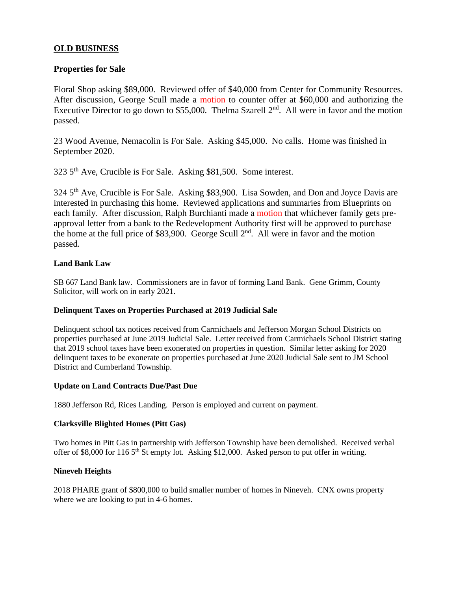# **OLD BUSINESS**

# **Properties for Sale**

Floral Shop asking \$89,000. Reviewed offer of \$40,000 from Center for Community Resources. After discussion, George Scull made a motion to counter offer at \$60,000 and authorizing the Executive Director to go down to \$55,000. Thelma Szarell  $2<sup>nd</sup>$ . All were in favor and the motion passed.

23 Wood Avenue, Nemacolin is For Sale. Asking \$45,000. No calls. Home was finished in September 2020.

323 5th Ave, Crucible is For Sale. Asking \$81,500. Some interest.

324 5<sup>th</sup> Ave, Crucible is For Sale. Asking \$83,900. Lisa Sowden, and Don and Joyce Davis are interested in purchasing this home. Reviewed applications and summaries from Blueprints on each family. After discussion, Ralph Burchianti made a motion that whichever family gets preapproval letter from a bank to the Redevelopment Authority first will be approved to purchase the home at the full price of \$83,900. George Scull  $2<sup>nd</sup>$ . All were in favor and the motion passed.

### **Land Bank Law**

SB 667 Land Bank law. Commissioners are in favor of forming Land Bank. Gene Grimm, County Solicitor, will work on in early 2021.

#### **Delinquent Taxes on Properties Purchased at 2019 Judicial Sale**

Delinquent school tax notices received from Carmichaels and Jefferson Morgan School Districts on properties purchased at June 2019 Judicial Sale. Letter received from Carmichaels School District stating that 2019 school taxes have been exonerated on properties in question. Similar letter asking for 2020 delinquent taxes to be exonerate on properties purchased at June 2020 Judicial Sale sent to JM School District and Cumberland Township.

#### **Update on Land Contracts Due/Past Due**

1880 Jefferson Rd, Rices Landing. Person is employed and current on payment.

#### **Clarksville Blighted Homes (Pitt Gas)**

Two homes in Pitt Gas in partnership with Jefferson Township have been demolished. Received verbal offer of \$8,000 for 116 5<sup>th</sup> St empty lot. Asking \$12,000. Asked person to put offer in writing.

#### **Nineveh Heights**

2018 PHARE grant of \$800,000 to build smaller number of homes in Nineveh. CNX owns property where we are looking to put in 4-6 homes.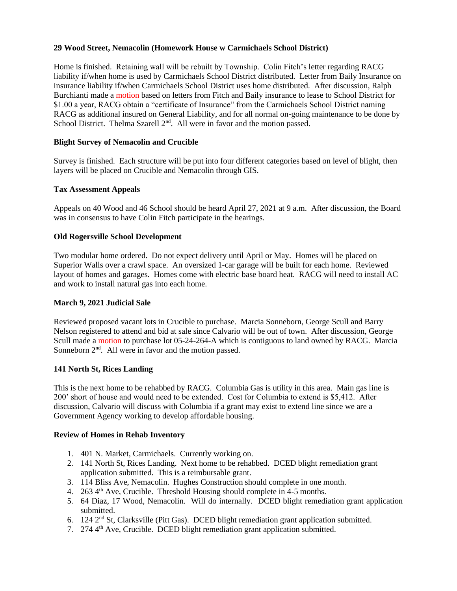### **29 Wood Street, Nemacolin (Homework House w Carmichaels School District)**

Home is finished. Retaining wall will be rebuilt by Township. Colin Fitch's letter regarding RACG liability if/when home is used by Carmichaels School District distributed. Letter from Baily Insurance on insurance liability if/when Carmichaels School District uses home distributed. After discussion, Ralph Burchianti made a motion based on letters from Fitch and Baily insurance to lease to School District for \$1.00 a year, RACG obtain a "certificate of Insurance" from the Carmichaels School District naming RACG as additional insured on General Liability, and for all normal on-going maintenance to be done by School District. Thelma Szarell  $2<sup>nd</sup>$ . All were in favor and the motion passed.

## **Blight Survey of Nemacolin and Crucible**

Survey is finished. Each structure will be put into four different categories based on level of blight, then layers will be placed on Crucible and Nemacolin through GIS.

#### **Tax Assessment Appeals**

Appeals on 40 Wood and 46 School should be heard April 27, 2021 at 9 a.m. After discussion, the Board was in consensus to have Colin Fitch participate in the hearings.

### **Old Rogersville School Development**

Two modular home ordered. Do not expect delivery until April or May. Homes will be placed on Superior Walls over a crawl space. An oversized 1-car garage will be built for each home. Reviewed layout of homes and garages. Homes come with electric base board heat. RACG will need to install AC and work to install natural gas into each home.

#### **March 9, 2021 Judicial Sale**

Reviewed proposed vacant lots in Crucible to purchase. Marcia Sonneborn, George Scull and Barry Nelson registered to attend and bid at sale since Calvario will be out of town. After discussion, George Scull made a motion to purchase lot 05-24-264-A which is contiguous to land owned by RACG. Marcia Sonneborn  $2<sup>nd</sup>$ . All were in favor and the motion passed.

## **141 North St, Rices Landing**

This is the next home to be rehabbed by RACG. Columbia Gas is utility in this area. Main gas line is 200' short of house and would need to be extended. Cost for Columbia to extend is \$5,412. After discussion, Calvario will discuss with Columbia if a grant may exist to extend line since we are a Government Agency working to develop affordable housing.

### **Review of Homes in Rehab Inventory**

- 1. 401 N. Market, Carmichaels. Currently working on.
- 2. 141 North St, Rices Landing. Next home to be rehabbed. DCED blight remediation grant application submitted. This is a reimbursable grant.
- 3. 114 Bliss Ave, Nemacolin. Hughes Construction should complete in one month.
- 4. 263 4<sup>th</sup> Ave, Crucible. Threshold Housing should complete in 4-5 months.
- 5. 64 Diaz, 17 Wood, Nemacolin. Will do internally. DCED blight remediation grant application submitted.
- 6. 124 2nd St, Clarksville (Pitt Gas). DCED blight remediation grant application submitted.
- 7. 274 4th Ave, Crucible. DCED blight remediation grant application submitted.